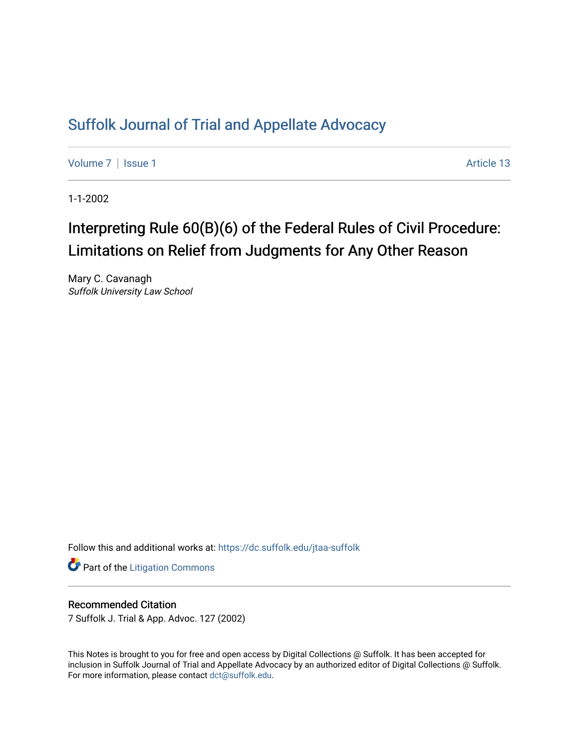## [Suffolk Journal of Trial and Appellate Advocacy](https://dc.suffolk.edu/jtaa-suffolk)

[Volume 7](https://dc.suffolk.edu/jtaa-suffolk/vol7) | [Issue 1](https://dc.suffolk.edu/jtaa-suffolk/vol7/iss1) Article 13

1-1-2002

# Interpreting Rule 60(B)(6) of the Federal Rules of Civil Procedure: Limitations on Relief from Judgments for Any Other Reason

Mary C. Cavanagh Suffolk University Law School

Follow this and additional works at: [https://dc.suffolk.edu/jtaa-suffolk](https://dc.suffolk.edu/jtaa-suffolk?utm_source=dc.suffolk.edu%2Fjtaa-suffolk%2Fvol7%2Fiss1%2F13&utm_medium=PDF&utm_campaign=PDFCoverPages) 

**Part of the [Litigation Commons](https://network.bepress.com/hgg/discipline/910?utm_source=dc.suffolk.edu%2Fjtaa-suffolk%2Fvol7%2Fiss1%2F13&utm_medium=PDF&utm_campaign=PDFCoverPages)** 

#### Recommended Citation

7 Suffolk J. Trial & App. Advoc. 127 (2002)

This Notes is brought to you for free and open access by Digital Collections @ Suffolk. It has been accepted for inclusion in Suffolk Journal of Trial and Appellate Advocacy by an authorized editor of Digital Collections @ Suffolk. For more information, please contact [dct@suffolk.edu](mailto:dct@suffolk.edu).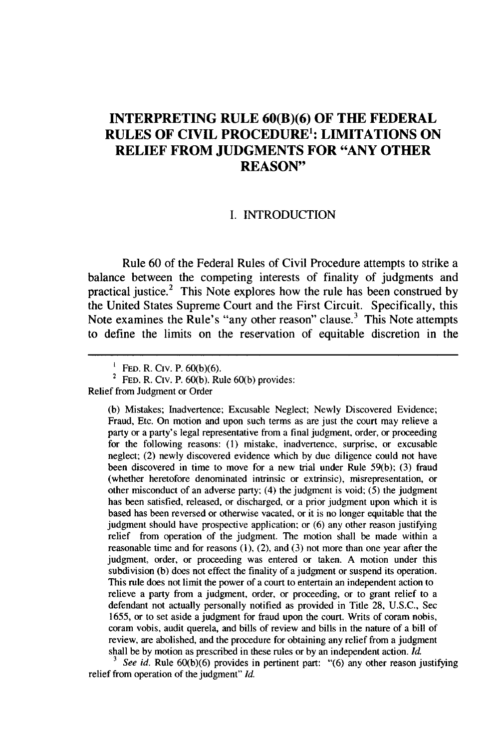### **INTERPRETING RULE 60(B)(6) OF THE FEDERAL RULES OF CIVIL PROCEDURE': LIMITATIONS ON RELIEF FROM JUDGMENTS FOR "ANY OTHER REASON"**

#### **I. INTRODUCTION**

Rule **60** of the Federal Rules of Civil Procedure attempts to strike a balance between the competing interests of finality of judgments and practical justice.2 This Note explores how the rule has been construed **by** the United States Supreme Court and the First Circuit. Specifically, this Note examines the Rule's "any other reason" clause.<sup>3</sup> This Note attempts to define the limits on the reservation of equitable discretion in the

Relief from Judgment or Order

**(b)** Mistakes; Inadvertence; Excusable Neglect; Newly Discovered Evidence; Fraud, Etc. On motion and upon such terms as are just the court may relieve a party or a party's legal representative from a final judgment, order, or proceeding for the following reasons: **(1)** mistake, inadvertence, surprise, or excusable neglect; (2) newly discovered evidence which **by** due diligence could not have been discovered in time to move for a new trial under Rule **59(b); (3)** fraud (whether heretofore denominated intrinsic or extrinsic), misrepresentation, or other misconduct of an adverse party; (4) the judgment is void; **(5)** the judgment has been satisfied, released, or discharged, or a prior judgment upon which it is based has been reversed or otherwise vacated, or it is no longer equitable that the judgment should have prospective application; or **(6)** any other reason justifying relief from operation of the judgment. The motion shall be made within a reasonable time and for reasons **(1),** (2), and **(3)** not more than one year after the judgment, order, or proceeding was entered or taken. **A** motion under this subdivision **(b)** does not effect the finality of a judgment or suspend its operation. This rule does not limit the power of a court to entertain an independent action to relieve a party from a judgment, order, or proceeding, or to grant relief to a defendant not actually personally notified as provided in Title **28, U.S.C.,** Sec **1655,** or to set aside a judgment for fraud upon the court. Writs of coram nobis, coram vobis, audit querela, and bills of review and bills in the nature of a bill of review, are abolished, and the procedure for obtaining any relief from a judgment shall be **by** motion as prescribed in these rules or **by** an independent action. *Id.*

*<sup>3</sup>See id.* Rule **60(b)(6)** provides in pertinent part: **"(6)** any other reason justifying relief from operation of the judgment" *Id.*

**<sup>1</sup>** FED. R. Civ. P. **60(b)(6).**

<sup>2</sup>**FED.** R. Civ. P. **60(b).** Rule **60(b)** provides: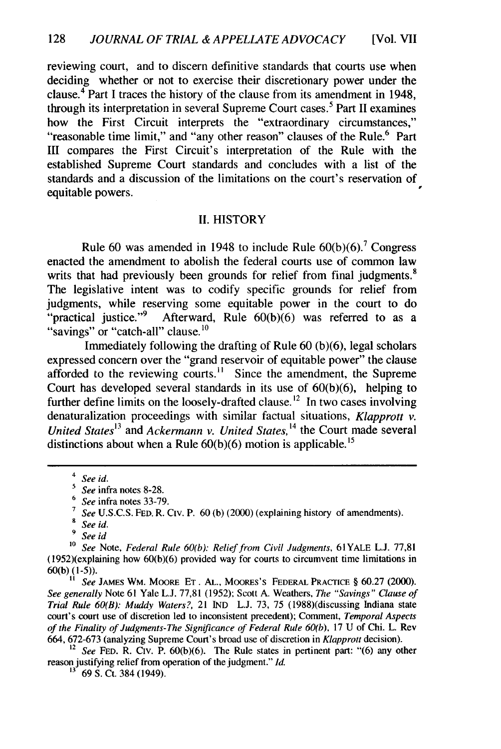reviewing court, and to discern definitive standards that courts use when deciding whether or not to exercise their discretionary power under the clause.<sup>4</sup> Part I traces the history of the clause from its amendment in 1948, through its interpretation in several Supreme Court cases.<sup>5</sup> Part II examines how the First Circuit interprets the "extraordinary circumstances," "reasonable time limit," and "any other reason" clauses of the Rule.<sup>6</sup> Part III compares the First Circuit's interpretation of the Rule with the established Supreme Court standards and concludes with a list of the standards and a discussion of the limitations on the court's reservation of equitable powers.

#### II. HISTORY

Rule 60 was amended in 1948 to include Rule  $60(b)(6)$ .<sup>7</sup> Congress enacted the amendment to abolish the federal courts use of common law writs that had previously been grounds for relief from final judgments.<sup>8</sup> The legislative intent was to codify specific grounds for relief from judgments, while reserving some equitable power in the court to do "practical justice."<sup>9</sup> Afterward, Rule  $60(b)(6)$  was referred to as a "savings" or "catch-all" clause.<sup>10</sup>

Immediately following the drafting of Rule 60 (b)(6), legal scholars expressed concern over the "grand reservoir of equitable power" the clause afforded to the reviewing courts.<sup>11</sup> Since the amendment, the Supreme Court has developed several standards in its use of  $60(b)(6)$ , helping to further define limits on the loosely-drafted clause.<sup>12</sup> In two cases involving denaturalization proceedings with similar factual situations, *Klapprott v. United States1<sup>3</sup>*and *Ackermann v. United States,* 14 the Court made several distinctions about when a Rule  $60(b)(6)$  motion is applicable.<sup>15</sup>

**1** *See* JAMES WM. MOORE **ET.** AL., MooREs's FEDERAL PRACTICE § 60.27 (2000). *See generally* Note 61 Yale L.J. 77,81 (1952); Scott A. Weathers, *The "Savings" Clause of Trial Rule 60(B): Muddy Waters?,* 21 IND L.J. 73, 75 (1988)(discussing Indiana state court's court use of discretion led to inconsistent precedent); Comment, *Temporal Aspects of the Finality of Judgments-The Significance of Federal Rule 60(b),* 17 U of Chi. L. Rev 664, 672-673 (analyzing Supreme Court's broad use of discretion in *Klapprott* decision).

See FED. R. CIV. P. 60(b)(6). The Rule states in pertinent part: "(6) any other reason justifying relief from operation of the judgment." *Id.*

 $rac{4}{5}$  *See id.* 

**<sup>5</sup>***See* infra notes 8-28.

<sup>6</sup>*See* infra notes 33-79.

<sup>&</sup>lt;sup>7</sup> See U.S.C.S. FED. R. Civ. P. 60 (b) (2000) (explaining history of amendments).

**<sup>8</sup>** *See id.*

**<sup>9</sup>** *See id*

**<sup>10</sup>***See* Note, *Federal Rule 60(b): Relief from Civil Judgments,* 61YALE L.J. 77,81 (1952)(explaining how 60(b)(6) provided way for courts to circumvent time limitations in 60(b) (1-5)).

**<sup>13</sup>** 69 **S.** Ct. 384 (1949).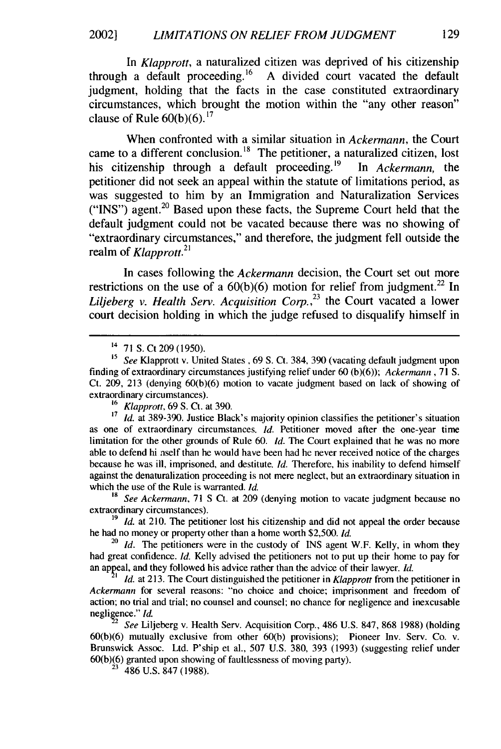#### *LIMITATIONS ON RELIEF FROM JUDGMENT* 2002]

In *Klapprott,* a naturalized citizen was deprived of his citizenship through a default proceeding.16 A divided court vacated the default judgment, holding that the facts in the case constituted extraordinary circumstances, which brought the motion within the "any other reason" clause of Rule  $60(b)(6)$ .<sup>17</sup>

When confronted with a similar situation in *Ackermann,* the Court came to a different conclusion.<sup>18</sup> The petitioner, a naturalized citizen, lost his citizenship through a default proceeding.<sup>19</sup> In *Ackermann*, the petitioner did not seek an appeal within the statute of limitations period, as was suggested to him by an Immigration and Naturalization Services ("INS") agent.<sup>20</sup> Based upon these facts, the Supreme Court held that the default judgment could not be vacated because there was no showing of "extraordinary circumstances," and therefore, the judgment fell outside the realm of *Klapprott.2<sup>1</sup>*

In cases following the *Ackermann* decision, the Court set out more restrictions on the use of a  $60(b)(6)$  motion for relief from judgment.<sup>22</sup> In *Liljeberg v. Health Serv. Acquisition Corp. ,23* the Court vacated a lower court decision holding in which the judge refused to disqualify himself in

*<sup>17</sup>Id.* at 389-390. Justice Black's majority opinion classifies the petitioner's situation as one of extraordinary circumstances. *Id.* Petitioner moved after the one-year time limitation for the other grounds of Rule 60. *Id.* The Court explained that he was no more able to defend hi nself than he would have been had he never received notice of the charges because he was ill, imprisoned, and destitute. *Id.* Therefore, his inability to defend himself against the denaturalization proceeding is not mere neglect, but an extraordinary situation in which the use of the Rule is warranted. *Id.*

*<sup>18</sup>See Ackermann,* 71 **S** Ct. at 209 (denying motion to vacate judgment because no extraordinary circumstances).

<sup>19</sup> *Id.* at 210. The petitioner lost his citizenship and did not appeal the order because he had no money or property other than a home worth \$2,500. *Id.*

<sup>20</sup> *Id.* The petitioners were in the custody of INS agent W.F. Kelly, in whom they had great confidence. *Id.* Kelly advised the petitioners not to put up their home to pay for an appeal, and they followed his advice rather than the advice of their lawyer. *Id.*

*Id.* at 213. The Court distinguished the petitioner in *Klapprott* from the petitioner in Ackermann for several reasons: "no choice and choice; imprisonment and freedom of action; no trial and trial; no counsel and counsel; no chance for negligence and inexcusable negligence." *Id.*

<sup>22</sup>*See* Liljeberg v. Health Serv. Acquisition Corp., 486 U.S. 847, 868 1988) (holding 60(b)(6) mutually exclusive from other 60(b) provisions); Pioneer Inv. Serv. Co. v. Brunswick Assoc. Ltd. P'ship et al., 507 U.S. 380, 393 (1993) (suggesting relief under 60(b)(6) granted upon showing of faultlessness of moving party).

<sup>23</sup>486 U.S. 847 (1988).

<sup>14</sup> 71 S. Ct 209 (1950).

<sup>&</sup>lt;sup>15</sup> *See* Klapprott v. United States , 69 S. Ct. 384, 390 (vacating default judgment upon finding of extraordinary circumstances justifying relief under 60 (b)(6)); *Ackermann,* 71 **S.** Ct. 209, 213 (denying 60(b)(6) motion to vacate judgment based on lack of showing of extraordinary circumstances).

**<sup>16</sup>***Klapprott,* 69 **S.** Ct. at 390.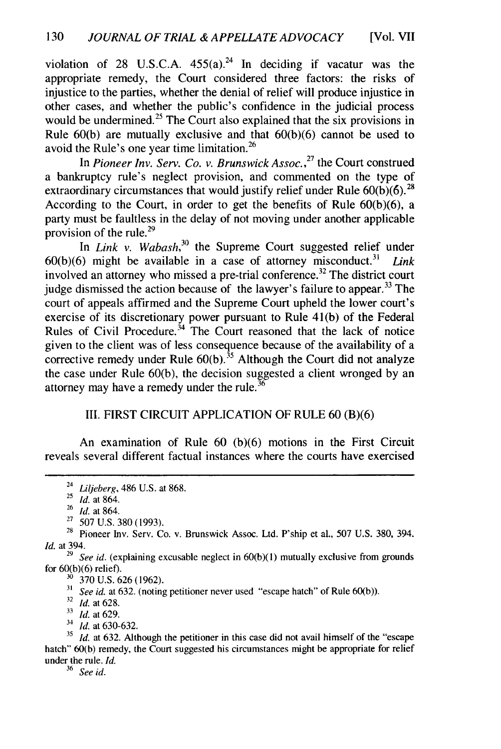violation of 28 U.S.C.A.  $455(a)^{24}$  In deciding if vacatur was the appropriate remedy, the Court considered three factors: the risks of injustice to the parties, whether the denial of relief will produce injustice in other cases, and whether the public's confidence in the judicial process would be undermined.<sup>25</sup> The Court also explained that the six provisions in Rule 60(b) are mutually exclusive and that 60(b)(6) cannot be used to avoid the Rule's one year time limitation.<sup>26</sup>

In *Pioneer Inv. Serv. Co. v. Brunswick Assoc.*<sup>27</sup> the Court construed a bankruptcy rule's neglect provision, and commented on the type of extraordinary circumstances that would justify relief under Rule  $60(b)(6)$ .<sup>28</sup> According to the Court, in order to get the benefits of Rule  $60(b)(6)$ , a party must be faultless in the delay of not moving under another applicable provision of the rule. $^{29}$ 

In *Link v. Wabash,3°* the Supreme Court suggested relief under 60(b)(6) might be available in a case of attorney misconduct.<sup>31</sup> *Link* involved an attorney who missed a pre-trial conference.<sup>32</sup> The district court judge dismissed the action because of the lawyer's failure to appear.<sup>33</sup> The court of appeals affirmed and the Supreme Court upheld the lower court's exercise of its discretionary power pursuant to Rule 41(b) of the Federal Rules of Civil Procedure.<sup>34</sup> The Court reasoned that the lack of notice given to the client was of less consequence because of the availability of a corrective remedy under Rule  $60(b)$ .<sup>35</sup> Although the Court did not analyze the case under Rule 60(b), the decision suggested a client wronged by an attorney may have a remedy under the rule. $36$ 

#### III. FIRST CIRCUIT APPLICATION OF RULE 60 (B)(6)

An examination of Rule 60 (b)(6) motions in the First Circuit reveals several different factual instances where the courts have exercised

<sup>30</sup> 370 U.S. 626 (1962).

*See id.* at 632. (noting petitioner never used "escape hatch" of Rule 60(b)).

<sup>32</sup>*Id.* at 628.

**<sup>33</sup>***Id.* at 629.

<sup>34</sup>*Id.* at 630-632.

**<sup>35</sup>***Id.* at 632. Although the petitioner in this case did not avail himself of the "escape hatch" 60(b) remedy, the Court suggested his circumstances might be appropriate for relief under the rule. *Id.*

<sup>36</sup>*See id.*

 $24$  Liljeberg, 486 U.S. at 868.

<sup>&</sup>lt;sup>25</sup> *Id.* at 864.

<sup>26</sup>*Id.* at 864.

 $27\,$  507 U.S. 380 (1993).

 $28$  Pioneer Inv. Serv. Co. v. Brunswick Assoc. Ltd. P'ship et al., 507 U.S. 380, 394. *Id.* at 394.

<sup>&</sup>lt;sup>29</sup> See id. (explaining excusable neglect in 60(b)(1) mutually exclusive from grounds for 60(b)(6) relief).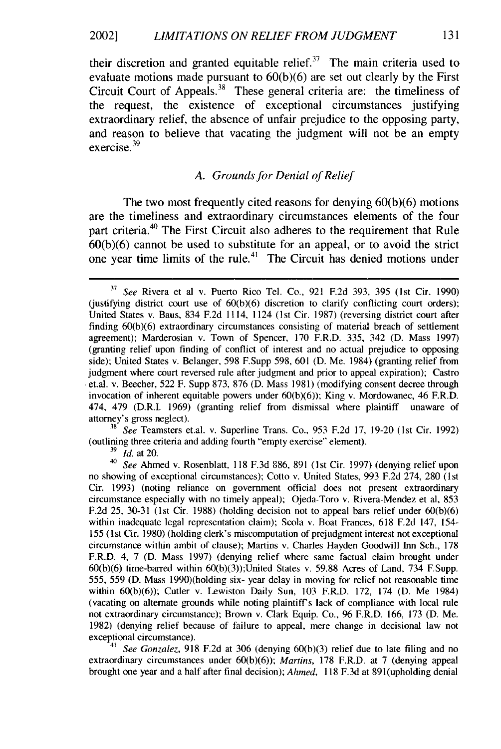their discretion and granted equitable relief.<sup>37</sup> The main criteria used to evaluate motions made pursuant to  $60(b)(6)$  are set out clearly by the First Circuit Court of Appeals.<sup>38</sup> These general criteria are: the timeliness of the request, the existence of exceptional circumstances justifying extraordinary relief, the absence of unfair prejudice to the opposing party, and reason to believe that vacating the judgment will not be an empty exercise.<sup>39</sup>

#### A. Grounds for Denial of Relief

The two most frequently cited reasons for denying 60(b)(6) motions are the timeliness and extraordinary circumstances elements of the four part criteria.<sup>40</sup> The First Circuit also adheres to the requirement that Rule  $60(b)(6)$  cannot be used to substitute for an appeal, or to avoid the strict one year time limits of the rule.<sup>41</sup> The Circuit has denied motions under

**<sup>38</sup>***See* Teamsters et.al. v. Superline Trans. Co., 953 F.2d 17, 19-20 (1st Cir. 1992) (outlining three criteria and adding fourth "empty exercise" element).

**<sup>39</sup>***Id.* at 20.

*See Gonzalez*, 918 F.2d at 306 (denying 60(b)(3) relief due to late filing and no extraordinary circumstances under 60(b)(6)); *Martins,* 178 F.R.D. at 7 (denying appeal brought one year and a half after final decision); *Ahned,* 118 F.3d at 891(upholding denial

**<sup>37</sup>***See* Rivera et al v. Puerto Rico Tel. Co., 921 F.2d 393, 395 (1st Cir. 1990) (justifying district court use of  $60(b)(6)$  discretion to clarify conflicting court orders); United States v. Baus, 834 F.2d 1114, 1124 (1st Cir. 1987) (reversing district court after finding 60(b)(6) extraordinary circumstances consisting of material breach of settlement agreement); Marderosian v. Town of Spencer, 170 F.R.D. 335, 342 (D. Mass 1997) (granting relief upon finding of conflict of interest and no actual prejudice to opposing side); United States v. Belanger, 598 F.Supp 598, 601 (D. Me. 1984) (granting relief from judgment where court reversed rule after judgment and prior to appeal expiration); Castro et.al. v. Beecher, 522 F. Supp 873, 876 (D. Mass 1981) (modifying consent decree through invocation of inherent equitable powers under 60(b)(6)); King v. Mordowanec, 46 F.R.D. 474, 479 (D.R.I. 1969) (granting relief from dismissal where plaintiff unaware of attorney's gross neglect).

*<sup>40</sup>See* Ahmed v. Rosenblatt, 118 F.3d 886, 891 (1st Cir. 1997) (denying relief upon no showing of exceptional circumstances); Cotto v. United States, 993 F.2d 274, 280 (1st Cir. 1993) (noting reliance on government official does not present extraordinary circumstance especially with no timely appeal); Ojeda-Toro v. Rivera-Mendez et al, 853 F.2d 25, 30-31 (1st Cir. 1988) (holding decision not to appeal bars relief under 60(b)(6) within inadequate legal representation claim); Scola v. Boat Frances, 618 F.2d 147, 154- 155 (1 st Cir. 1980) (holding clerk's miscomputation of prejudgment interest not exceptional circumstance within ambit of clause); Martins v. Charles Hayden Goodwill Inn Sch., 178 F.R.D. 4, 7 (D. Mass 1997) (denying relief where same factual claim brought under  $60(b)(6)$  time-barred within  $60(b)(3)$ ; United States v. 59.88 Acres of Land, 734 F.Supp. 555, 559 (D. Mass 1990)(holding six- year delay in moving for relief not reasonable time within 60(b)(6)); Cutler v. Lewiston Daily Sun, 103 F.R.D. 172, 174 (D. Me 1984) (vacating on alternate grounds while noting plaintiffs lack of compliance with local rule not extraordinary circumstance); Brown v. Clark Equip. Co., 96 F.R.D. 166, 173 (D. Me. 1982) (denying relief because of failure to appeal, mere change in decisional law not exceptional circumstance).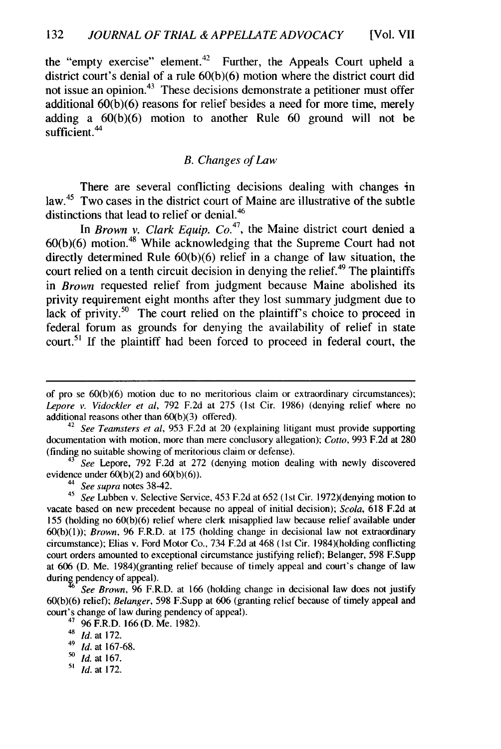the "empty exercise" element.<sup>42</sup> Further, the Appeals Court upheld a district court's denial of a rule 60(b)(6) motion where the district court did not issue an opinion.<sup>43</sup> These decisions demonstrate a petitioner must offer additional 60(b)(6) reasons for relief besides a need for more time, merely adding a 60(b)(6) motion to another Rule 60 ground will not be sufficient.<sup>44</sup>

#### B. Changes of Law

There are several conflicting decisions dealing with changes in law.<sup>45</sup> Two cases in the district court of Maine are illustrative of the subtle distinctions that lead to relief or denial. <sup>46</sup>

In *Brown v. Clark Equip. Co.*<sup>47</sup>, the Maine district court denied a  $60(b)(6)$  motion.<sup>48</sup> While acknowledging that the Supreme Court had not directly determined Rule 60(b)(6) relief in a change of law situation, the court relied on a tenth circuit decision in denying the relief.<sup> $49$ </sup> The plaintiffs in *Brown* requested relief from judgment because Maine abolished its privity requirement eight months after they lost summary judgment due to lack of privity.<sup>50</sup> The court relied on the plaintiff's choice to proceed in federal forum as grounds for denying the availability of relief in state court.<sup>51</sup> If the plaintiff had been forced to proceed in federal court, the

<sup>43</sup> See Lepore, 792 F.2d at 272 (denying motion dealing with newly discovered evidence under  $60(b)(2)$  and  $60(b)(6)$ .

- **'0** *Id.* at 167.
- **"'** *Id.* at 172.

of pro se 60(b)(6) motion due to no meritorious claim or extraordinary circumstances); *Lepore v. Vidockler et al,* 792 F.2d at 275 (1st Cir. 1986) (denying relief where no additional reasons other than 60(b)(3) offered).

<sup>42</sup>*See Teamsters et al,* 953 F.2d at 20 (explaining litigant must provide supporting documentation with motion, more than mere conclusory allegation); *Cotto,* 993 F.2d at 280 (finding no suitable showing of meritorious claim or defense).

*<sup>44</sup>See supra* notes 3842. <sup>45</sup>*See* Lubben v. Selective Service, 453 F.2d at 652 (1st Cir. 1972)(denying motion to vacate based on new precedent because no appeal of initial decision); *Scola,* 618 F.2d at 155 (holding no 60(b)(6) relief where clerk misapplied law because relief available under 60(b)(l)); *Brown,* 96 F.R.D. at 175 (holding change in decisional law not extraordinary circumstance); Elias v. Ford Motor Co., 734 F.2d at 468 (1st Cir. 1984)(holding conflicting court orders amounted to exceptional circumstance justifying relief); Belanger, 598 F.Supp at 606 (D. Me. 1984)(granting relief because of timely appeal and court's change of law during pendency of appeal).

*See Brown,* 96 F.R.D. at 166 (holding change in decisional law does not justify 60(b)(6) relief); *Belanger,* 598 F.Supp at 606 (granting relief because of timely appeal and court's change of law during pendency of appeal).

 $4796$  F.R.D. 166 (D. Me. 1982).

<sup>48</sup>*Id.* at 172.

<sup>49</sup>*Id.* at 167-68.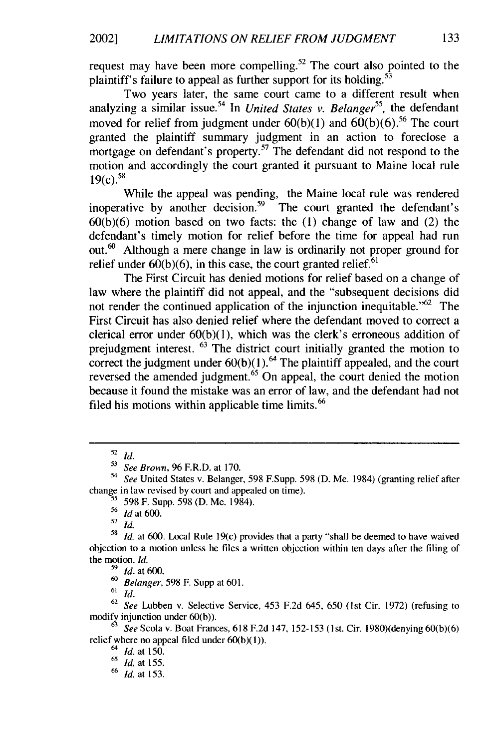request may have been more compelling.<sup>52</sup> The court also pointed to the plaintiff's failure to appeal as further support for its holding.<sup>53</sup>

Two years later, the same court came to a different result when analyzing a similar issue.<sup>54</sup> In *United States v. Belanger*<sup>55</sup>, the defendant moved for relief from judgment under  $60(b)(1)$  and  $60(b)(6)$ .<sup>56</sup> The court granted the plaintiff summary judgment in an action to foreclose a mortgage on defendant's property.<sup>57</sup> The defendant did not respond to the motion and accordingly the court granted it pursuant to Maine local rule  $19(c).$ <sup>58</sup>

While the appeal was pending, the Maine local rule was rendered inoperative by another decision.<sup>59</sup> The court granted the defendant's  $60(b)(6)$  motion based on two facts: the  $(1)$  change of law and  $(2)$  the defendant's timely motion for relief before the time for appeal had run out.6° Although a mere change in law is ordinarily not proper ground for relief under  $60(b)(6)$ , in this case, the court granted relief.<sup>61</sup>

The First Circuit has denied motions for relief based on a change of law where the plaintiff did not appeal, and the "subsequent decisions did not render the continued application of the injunction inequitable.<sup> $.62$ </sup> The First Circuit has also denied relief where the defendant moved to correct a clerical error under 60(b)(1), which was the clerk's erroneous addition of prejudgment interest. 63 The district court initially granted the motion to correct the judgment under  $60(b)(1)$ .<sup>64</sup> The plaintiff appealed, and the court reversed the amended judgment.<sup>65</sup> On appeal, the court denied the motion because it found the mistake was an error of law, and the defendant had not filed his motions within applicable time limits.<sup>66</sup>

<sup>56</sup>**Id** at 600.

**57 Id.**

**59** *Id.* at 600.

**60** Belanger, 598 F. Supp at 601.

 $61$  *Id.* 

 $62$  See Lubben v. Selective Service, 453 F.2d 645, 650 (1st Cir. 1972) (refusing to modify injunction under 60(b)).

<sup>52</sup>*Id.*

**<sup>53</sup>** See Brown, 96 F.R.D. at 170.

<sup>&#</sup>x27;4 See United States v. Belanger, 598 F.Supp. 598 (D. Me. 1984) (granting relief after change in law revised by court and appealed on time).

**<sup>5</sup>** 598 F. Supp. 598 (D. Me. 1984).

<sup>58</sup>*Id.* at 600. Local Rule 19(c) provides that a party "shall be deemed to have waived objection to a motion unless he files a written objection within ten days after the filing of the motion. *Id.*

*<sup>63</sup>*See Scola v. Boat Frances, 618 F.2d 147, 152-153 (1st. Cir. 1980)(denying 60(b)(6) relief where no appeal filed under 60(b)(l)).

<sup>64</sup> **Id.** at 150.

<sup>65</sup>*Id.* at 155.

**<sup>66</sup> Id.** at 153.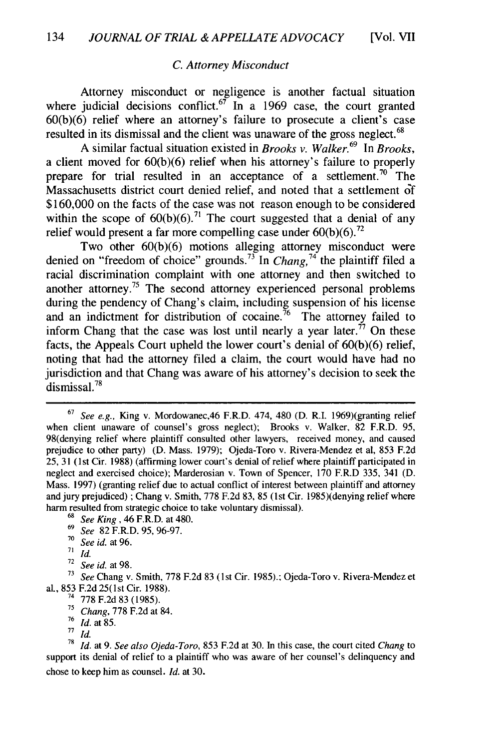#### *C. Attorney Misconduct*

Attorney misconduct or negligence is another factual situation where judicial decisions conflict.<sup>67</sup> In a 1969 case, the court granted 60(b)(6) relief where an attorney's failure to prosecute a client's case resulted in its dismissal and the client was unaware of the gross neglect.<sup>68</sup>

A similar factual situation existed in *Brooks v. Walker.<sup>69</sup>*In *Brooks,* a client moved for 60(b)(6) relief when his attorney's failure to properly prepare for trial resulted in an acceptance of a settlement.<sup>70</sup> The Massachusetts district court denied relief, and noted that a settlement **3f** \$160,000 on the facts of the case was not reason enough to be considered within the scope of  $60(b)(6)$ .<sup>71</sup> The court suggested that a denial of any relief would present a far more compelling case under  $60(b)(6)$ .<sup>72</sup>

Two other 60(b)(6) motions alleging attorney misconduct were denied on "freedom of choice" grounds.73 In *Chang,74* the plaintiff filed a racial discrimination complaint with one attorney and then switched to another attorney.<sup>75</sup> The second attorney experienced personal problems during the pendency of Chang's claim, including suspension of his license and an indictment for distribution of cocaine.<sup>76</sup> The attorney failed to inform Chang that the case was lost until nearly a year later.<sup> $\dot{\tau}$ </sup> On these facts, the Appeals Court upheld the lower court's denial of 60(b)(6) relief, noting that had the attorney filed a claim, the court would have had no jurisdiction and that Chang was aware of his attorney's decision to seek the dismissal.<sup>78</sup>

**<sup>73</sup>***See* Chang v. Smith, 778 F.2d 83 (1st Cir. 1985).; Ojeda-Toro v. Rivera-Mendez et al., 853 F.2d 25(lst Cir. 1988).

- *<sup>71</sup>Chang,* 778 F.2d at 84.
- <sup>76</sup>*Id.* at 85.

<sup>78</sup>*Id.* at 9. *See also Ojeda-Toro,* 853 F.2d at 30. In this case, the court cited *Chang* to support its denial of relief to a plaintiff who was aware of her counsel's delinquency and chose to keep him as counsel. *Id.* at 30.

<sup>67</sup> *See e.g.,* King v. Mordowanec,46 F.R.D. 474, 480 (D. R.I. 1969)(granting relief when client unaware of counsel's gross neglect); Brooks v. Walker, 82 F.R.D. 95, 98(denying relief where plaintiff consulted other lawyers, received money, and caused prejudice to other party) (D. Mass. 1979); Ojeda-Toro v. Rivera-Mendez et al, 853 F.2d 25, 31 (1 st Cir. 1988) (affirming lower court's denial of relief where plaintiff participated in neglect and exercised choice); Marderosian v. Town of Spencer, 170 F.R.D 335, 341 (D. Mass. 1997) (granting relief due to actual conflict of interest between plaintiff and attorney and jury prejudiced); Chang v. Smith, 778 F.2d 83, 85 (1st Cir. 1985)(denying relief where harm resulted from strategic choice to take voluntary dismissal).

*<sup>68</sup>See King,* 46 F.R.D. at 480.

<sup>69</sup>*See* 82 F.R.D. 95, 96-97.

<sup>70</sup> *See id.* at 96.

**<sup>71</sup>** *Id.*

<sup>72</sup> *See id.* at 98.

<sup>&</sup>lt;sup>74</sup> 778 F.2d 83 (1985).

**<sup>77</sup>***Id.*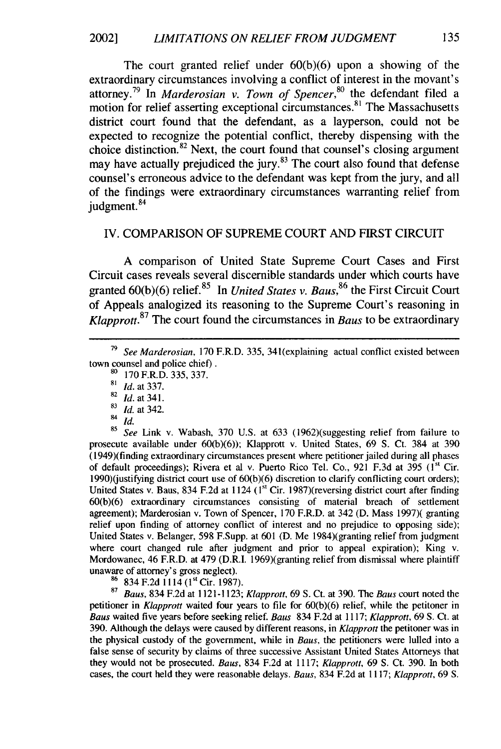The court granted relief under 60(b)(6) upon a showing of the extraordinary circumstances involving a conflict of interest in the movant's attorney.79 In *Marderosian v. Town of Spencer,8°* the defendant filed a motion for relief asserting exceptional circumstances.<sup>81</sup> The Massachusetts district court found that the defendant, as a layperson, could not be expected to recognize the potential conflict, thereby dispensing with the choice distinction.<sup>82</sup> Next, the court found that counsel's closing argument may have actually prejudiced the jury.<sup>83</sup> The court also found that defense counsel's erroneous advice to the defendant was kept from the jury, and all of the findings were extraordinary circumstances warranting relief from judgment.<sup>84</sup>

#### IV. COMPARISON OF SUPREME COURT AND FIRST CIRCUIT

A comparison of United State Supreme Court Cases and First Circuit cases reveals several discernible standards under which courts have granted 60(b)(6) relief.<sup>85</sup> In *United States v. Baus*,<sup>86</sup> the First Circuit Court of Appeals analogized its reasoning to the Supreme Court's reasoning in *Klapprott.<sup>87</sup>*The court found the circumstances in *Baus* to be extraordinary

- **<sup>83</sup>***Id.* at 342.
- $rac{84}{85}$  *Id.*

See Link v. Wabash, 370 U.S. at 633 (1962)(suggesting relief from failure to prosecute available under 60(b)(6)); Klapprott v. United States, 69 S. Ct. 384 at 390 (1949)(finding extraordinary circumstances present where petitioner jailed during all phases of default proceedings); Rivera et al v. Puerto Rico Tel. Co., 921 F.3d at 395 (1st Cir. 1990)(justifying district court use of 60(b)(6) discretion to clarify conflicting court orders); United States v. Baus, 834 F.2d at 1124 (1<sup>st</sup> Cir. 1987)(reversing district court after finding 60(b)(6) extraordinary circumstances consisting of material breach of settlement agreement); Marderosian v. Town of Spencer, 170 F.R.D. at 342 (D. Mass 1997)( granting relief upon finding of attorney conflict of interest and no prejudice to opposing side); United States v. Belanger, 598 F.Supp. at 601 (D. Me 1984)(granting relief from judgment where court changed rule after judgment and prior to appeal expiration); King v. Mordowanec, 46 F.R.D. at 479 (D.R.I. 1969)(granting relief from dismissal where plaintiff unaware of attorney's gross neglect).

86 834 F.2d 1114 (1<sup>st</sup> Cir. 1987).

<sup>87</sup>Baus, 834 F.2d at 1121-1123; *Klapprott,* 69 **S.** Ct. at 390. The *Baus* court noted the petitioner in *Klapprot* waited four years to file for 60(b)(6) relief, while the petitoner in Baus waited five years before seeking relief. *Baus* 834 F.2d at 1117; *Klapprott,* 69 **S.** Ct. at 390. Although the delays were caused by different reasons, in *Klapprott* the petitoner was in the physical custody of the government, while in *Baus,* the petitioners were lulled into a false sense of security by claims of three successive Assistant United States Attorneys that they would not be prosecuted. *Baus,* 834 F.2d at 1117; *Klapprott,* 69 **S.** Ct. 390. In both cases, the court held they were reasonable delays. *Baus,* 834 F.2d at 1117; *Klapprott,* 69 **S.**

**<sup>79</sup>***See Marderosian,* 170 F.R.D. 335, 341(explaining actual conflict existed between town counsel and police chief).

**<sup>80</sup>**170 F.R.D. 335, 337.

**<sup>81</sup>** *Id.* at 337.

<sup>82</sup>*id.* at 341.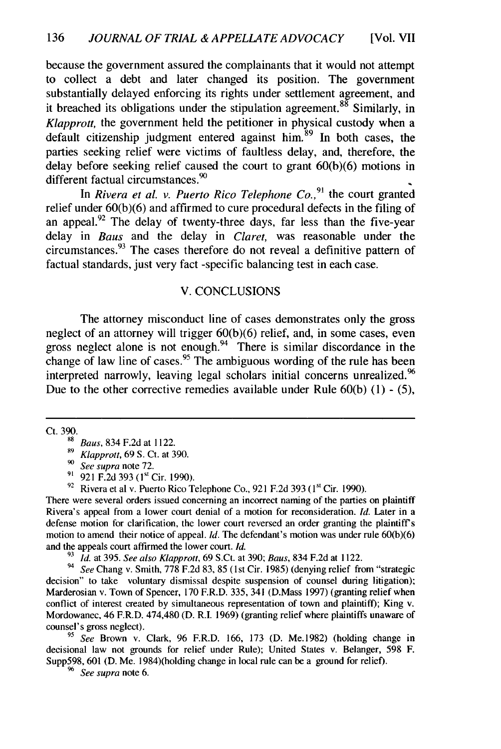because the government assured the complainants that it would not attempt to collect a debt and later changed its position. The government substantially delayed enforcing its rights under settlement agreement, and it breached its obligations under the stipulation agreement.<sup>88</sup> Similarly, in *Klapprott*, the government held the petitioner in physical custody when a default citizenship judgment entered against him. $89$  In both cases, the parties seeking relief were victims of faultless delay, and, therefore, the delay before seeking relief caused the court to grant 60(b)(6) motions in different factual circumstances.<sup>90</sup>

In *Rivera et al. v. Puerto Rico Telephone Co.,<sup>9</sup>1* the court granted relief under 60(b)(6) and affirmed to cure procedural defects in the filing of an appeal. $92$  The delay of twenty-three days, far less than the five-year delay in *Baus* and the delay in *Claret,* was reasonable under the circumstances.93 The cases therefore do not reveal a definitive pattern of factual standards, just very fact -specific balancing test in each case.

#### V. CONCLUSIONS

The attorney misconduct line of cases demonstrates only the gross neglect of an attorney will trigger 60(b)(6) relief, and, in some cases, even gross neglect alone is not enough. $94$  There is similar discordance in the change of law line of cases.<sup>95</sup> The ambiguous wording of the rule has been interpreted narrowly, leaving legal scholars initial concerns unrealized.<sup>96</sup> Due to the other corrective remedies available under Rule 60(b) (1) - (5),

Ct. 390.

There were several orders issued concerning an incorrect naming of the parties on plaintiff Rivera's appeal from a lower court denial of a motion for reconsideration. *Id.* Later in a defense motion for clarification, the lower court reversed an order granting the plaintiffs motion to amend their notice of appeal. *Id.* The defendant's motion was under rule 60(b)(6) and the appeals court affirmed the lower court. *Id.*

**<sup>93</sup>***Id.* at 395. *See also Klapprott,* 69 S.Ct. at 390; *Baus,* 834 F.2d at 1122.

<sup>94</sup> See Chang v. Smith, 778 F.2d 83, 85 (1st Cir. 1985) (denying relief from "strategic decision" to take voluntary dismissal despite suspension of counsel during litigation); Marderosian v. Town of Spencer, 170 F.R.D. 335, 341 (D.Mass 1997) (granting relief when conflict of interest created by simultaneous representation of town and plaintiff); King v. Mordowanec, 46 F.R.D. 474,480 (D. R.I. 1969) (granting relief where plaintiffs unaware of counsel's gross neglect).

*<sup>95</sup>See* Brown v. Clark, 96 F.R.D. 166, 173 (D. Me.1982) (holding change in decisional law not grounds for relief under Rule); United States v. Belanger, 598 F. Supp598, 601 (D. Me. 1984)(holding change in local rule can be a ground for relief).

*<sup>96</sup>See supra* note 6.

**<sup>98</sup>** Baus, 834 F.2d at 1122.

**<sup>89</sup>***Klapprott,* 69 S. Ct. at 390.

*<sup>90</sup>See* supra note 72.

<sup>&</sup>lt;sup>91</sup> 921 F.2d 393 (1<sup>st</sup> Cir. 1990).

<sup>&</sup>lt;sup>92</sup> Rivera et al v. Puerto Rico Telephone Co., 921 F.2d 393 (1<sup>st</sup> Cir. 1990).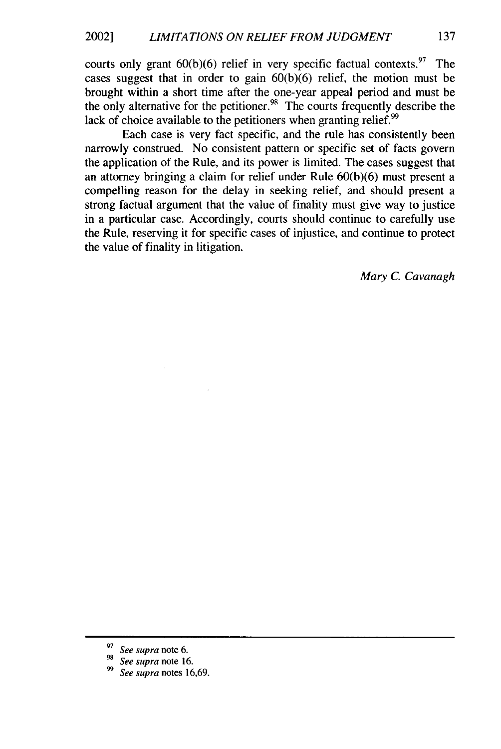courts only grant  $60(b)(6)$  relief in very specific factual contexts.<sup>97</sup> The cases suggest that in order to gain  $60(b)(6)$  relief, the motion must be brought within a short time after the one-year appeal period and must be the only alternative for the petitioner.<sup>98</sup> The courts frequently describe the lack of choice available to the petitioners when granting relief.<sup>99</sup>

Each case is very fact specific, and the rule has consistently been narrowly construed. No consistent pattern or specific set of facts govern the application of the Rule, and its power is limited. The cases suggest that an attorney bringing a claim for relief under Rule 60(b)(6) must present a compelling reason for the delay in seeking relief, and should present a strong factual argument that the value of finality must give way to justice in a particular case. Accordingly, courts should continue to carefully use the Rule, reserving it for specific cases of injustice, and continue to protect the value of finality in litigation.

*Mary C. Cavanagh*

See supra note 6.

See supra note 16.

See supra notes 16,69.